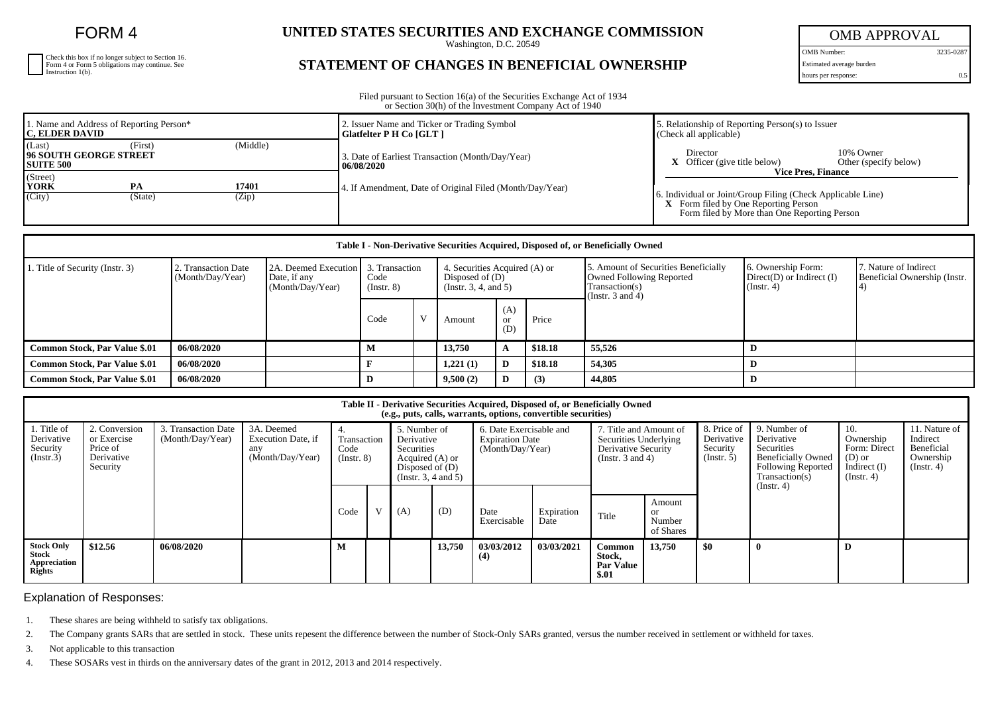FORM 4

| Check this box if no longer subject to Section 16.<br>Form 4 or Form 5 obligations may continue. See<br>Instruction 1(b). |
|---------------------------------------------------------------------------------------------------------------------------|

## **UNITED STATES SECURITIES AND EXCHANGE COMMISSION**

Washington, D.C. 20549

## **STATEMENT OF CHANGES IN BENEFICIAL OWNERSHIP**

OMB APPROVAL

OMB Number: 3235-0287 Estimated average burden

hours per response: 0.5

Filed pursuant to Section 16(a) of the Securities Exchange Act of 1934 or Section 30(h) of the Investment Company Act of 1940

| 1. Name and Address of Reporting Person*<br><b>IC. ELDER DAVID</b>                  | 2. Issuer Name and Ticker or Trading Symbol<br>Glatfelter P H Co [GLT] | 5. Relationship of Reporting Person(s) to Issuer<br>$(C \nle c k \nle \nle c k)$                                                                                                 |  |  |  |  |
|-------------------------------------------------------------------------------------|------------------------------------------------------------------------|----------------------------------------------------------------------------------------------------------------------------------------------------------------------------------|--|--|--|--|
| (Middle)<br>(Last)<br>(First)<br><b>196 SOUTH GEORGE STREET</b><br><b>SUITE 500</b> | 3. Date of Earliest Transaction (Month/Day/Year)<br>  06/08/2020       | 10% Owner<br>Director<br>$X$ Officer (give title below)<br>Other (specify below)                                                                                                 |  |  |  |  |
| (Street)<br><b>YORK</b><br>17401<br><b>PA</b><br>(City)<br>(Zip)<br>(State)         | 4. If Amendment, Date of Original Filed (Month/Day/Year)               | <b>Vice Pres. Finance</b><br>5. Individual or Joint/Group Filing (Check Applicable Line)<br>X Form filed by One Reporting Person<br>Form filed by More than One Reporting Person |  |  |  |  |

| Table I - Non-Derivative Securities Acquired, Disposed of, or Beneficially Owned |                                         |                                                          |                         |                                                                                               |          |                  |                                                                                                             |                                                                          |                                                       |  |  |
|----------------------------------------------------------------------------------|-----------------------------------------|----------------------------------------------------------|-------------------------|-----------------------------------------------------------------------------------------------|----------|------------------|-------------------------------------------------------------------------------------------------------------|--------------------------------------------------------------------------|-------------------------------------------------------|--|--|
| . Title of Security (Instr. 3)                                                   | 2. Transaction Date<br>(Month/Day/Year) | 2A. Deemed Execution<br>Date, if any<br>(Month/Day/Year) | Code<br>$($ Instr. $8)$ | 3. Transaction<br>4. Securities Acquired (A) or<br>Disposed of $(D)$<br>(Insert. 3, 4, and 5) |          |                  | 5. Amount of Securities Beneficially<br>Owned Following Reported<br>Transaction(s)<br>(Instr. $3$ and $4$ ) | 16. Ownership Form:<br>$Direct(D)$ or Indirect $(I)$<br>$($ Instr. 4 $)$ | 7. Nature of Indirect<br>Beneficial Ownership (Instr. |  |  |
|                                                                                  |                                         |                                                          | Code                    |                                                                                               | Amount   | (A)<br>or<br>(D) | Price                                                                                                       |                                                                          |                                                       |  |  |
| <b>Common Stock, Par Value \$.01</b>                                             | 06/08/2020                              |                                                          | М                       |                                                                                               | 13,750   | A                | \$18.18                                                                                                     | 55,526                                                                   |                                                       |  |  |
| <b>Common Stock, Par Value \$.01</b>                                             | 06/08/2020                              |                                                          |                         |                                                                                               | 1,221(1) | D                | \$18.18                                                                                                     | 54,305                                                                   |                                                       |  |  |
| Common Stock, Par Value \$.01                                                    | 06/08/2020                              |                                                          |                         |                                                                                               | 9,500(2) | D                | (3)                                                                                                         | 44,805                                                                   |                                                       |  |  |

| Table II - Derivative Securities Acquired, Disposed of, or Beneficially Owned<br>(e.g., puts, calls, warrants, options, convertible securities) |                                                                    |                                         |                                                             |                                   |  |                                                                                                          |        |                                                                       |                    |                                                                                                 |                                                |                                                      |                                                                                                                                    |                                                                                    |                                                                          |
|-------------------------------------------------------------------------------------------------------------------------------------------------|--------------------------------------------------------------------|-----------------------------------------|-------------------------------------------------------------|-----------------------------------|--|----------------------------------------------------------------------------------------------------------|--------|-----------------------------------------------------------------------|--------------------|-------------------------------------------------------------------------------------------------|------------------------------------------------|------------------------------------------------------|------------------------------------------------------------------------------------------------------------------------------------|------------------------------------------------------------------------------------|--------------------------------------------------------------------------|
| 1. Title of<br>Derivative<br>Security<br>(Insert.3)                                                                                             | 2. Conversion<br>or Exercise<br>Price of<br>Derivative<br>Security | 3. Transaction Date<br>(Month/Day/Year) | 3A. Deemed<br>Execution Date, if<br>any<br>(Month/Day/Year) | Transaction<br>Code<br>(Insert 8) |  | 5. Number of<br>Derivative<br>Securities<br>Acquired (A) or<br>Disposed of $(D)$<br>(Insert. 3, 4 and 5) |        | 6. Date Exercisable and<br><b>Expiration Date</b><br>(Month/Day/Year) |                    | 7. Title and Amount of<br>Securities Underlying<br>Derivative Security<br>(Instr. $3$ and $4$ ) |                                                | 8. Price of<br>Derivative<br>Security<br>(Insert. 5) | 9. Number of<br>Derivative<br>Securities<br><b>Beneficially Owned</b><br><b>Following Reported</b><br>Transaction(s)<br>(Instr. 4) | 10.<br>Ownership<br>Form: Direct<br>$(D)$ or<br>Indirect $(I)$<br>$($ Instr. 4 $)$ | 11. Nature of<br>Indirect<br>Beneficial<br>Ownership<br>$($ Instr. 4 $)$ |
|                                                                                                                                                 |                                                                    |                                         |                                                             | Code                              |  | (A)                                                                                                      | (D)    | Date<br>Exercisable                                                   | Expiration<br>Date | Title                                                                                           | Amount<br><sub>or</sub><br>Number<br>of Shares |                                                      |                                                                                                                                    |                                                                                    |                                                                          |
| <b>Stock Only</b><br>Stock<br>Appreciation<br><b>Rights</b>                                                                                     | \$12.56                                                            | 06/08/2020                              |                                                             | M                                 |  |                                                                                                          | 13,750 | 03/03/2012<br>(4)                                                     | 03/03/2021         | Common<br>Stock,<br><b>Par Value</b><br>\$.01                                                   | 13,750                                         | \$0                                                  |                                                                                                                                    | D                                                                                  |                                                                          |

Explanation of Responses:

1. These shares are being withheld to satisfy tax obligations.

2. The Company grants SARs that are settled in stock. These units repesent the difference between the number of Stock-Only SARs granted, versus the number received in settlement or withheld for taxes.

3. Not applicable to this transaction

4. These SOSARs vest in thirds on the anniversary dates of the grant in 2012, 2013 and 2014 respectively.